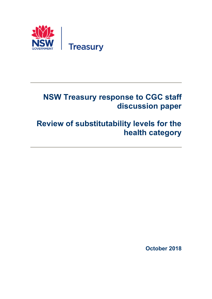

# **NSW Treasury response to CGC staff discussion paper**

# **Review of substitutability levels for the health category**

**October 2018**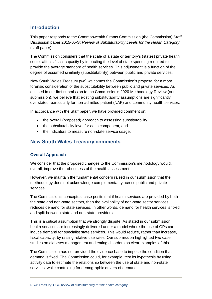# **Introduction**

This paper responds to the Commonwealth Grants Commission (the Commission) Staff Discussion paper 2015-05-S: *Review of Substitutability Levels for the Health Category* (staff paper)*.*

The Commission considers that the scale of a state or territory's (states) private health sector affects fiscal capacity by impacting the level of state spending required to provide the average standard of health services. This adjustment is a function of the degree of assumed similarity (substitutability) between public and private services.

New South Wales Treasury (we) welcomes the Commission's proposal for a more forensic consideration of the substitutability between public and private services. As outlined in our first submission to the Commission's 2020 Methodology Review (our submission), we believe that existing substitutability assumptions are significantly overstated, particularly for non-admitted patient (NAP) and community health services.

In accordance with the Staff paper, we have provided comment on:

- the overall (proposed) approach to assessing substitutability
- the substitutability level for each component, and
- the indicators to measure non-state service usage.

# **New South Wales Treasury comments**

### **Overall Approach**

We consider that the proposed changes to the Commission's methodology would, overall, improve the robustness of the health assessment.

However, we maintain the fundamental concern raised in our submission that the methodology does not acknowledge complementarity across public and private services.

The Commission's conceptual case posits that if health services are provided by both the state and non-state sectors, then the availability of non-state sector services reduces demand for state services. In other words, demand for health services is fixed and split between state and non-state providers.

This is a critical assumption that we strongly dispute. As stated in our submission, health services are increasingly delivered under a model where the use of GPs can induce demand for specialist state services. This would reduce, rather than increase, fiscal capacity, by raising relative use rates. Our submission highlighted two case studies on diabetes management and eating disorders as clear examples of this.

The Commission has not provided the evidence base to impose the condition that demand is fixed. The Commission could, for example, test its hypothesis by using activity data to estimate the relationship between the use of state and non-state services, while controlling for demographic drivers of demand.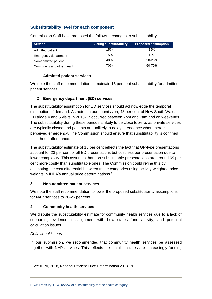### **Substitutability level for each component**

| <b>Service</b>             | <b>Existing substitutability</b> | <b>Proposed assumption</b> |  |  |  |
|----------------------------|----------------------------------|----------------------------|--|--|--|
| Admitted patient           | 15%                              | 15%                        |  |  |  |
| Emergency department       | 15%                              | 15%                        |  |  |  |
| Non-admitted patient       | 40%                              | 20-25%                     |  |  |  |
| Community and other health | 70%                              | 60-70%                     |  |  |  |

Commission Staff have proposed the following changes to substitutability.

#### **1 Admitted patient services**

We note the staff recommendation to maintain 15 per cent substitutability for admitted patient services.

#### **2 Emergency department (ED) services**

The substitutability assumption for ED services should acknowledge the temporal distribution of demand. As noted in our submission, 48 per cent of New South Wales ED triage 4 and 5 visits in 2016-17 occurred between 7pm and 7am and on weekends. The substitutability during these periods is likely to be close to zero, as private services are typically closed and patients are unlikely to delay attendance when there is a perceived emergency. The Commission should ensure that substitutability is confined to 'in-hour' attendance.

The substitutability estimate of 15 per cent reflects the fact that GP-type presentations account for 23 per cent of all ED presentations but cost less per presentation due to lower complexity. This assumes that non-substitutable presentations are around 69 per cent more costly than substitutable ones. The Commission could refine this by estimating the cost differential between triage categories using activity-weighted price weights in IHPA's annual price determinations. 1

#### **3 Non-admitted patient services**

We note the staff recommendation to lower the proposed substitutability assumptions for NAP services to 20-25 per cent.

#### **4 Community health services**

We dispute the substitutability estimate for community health services due to a lack of supporting evidence, misalignment with how states fund activity, and potential calculation issues.

#### *Definitional issues*

-

In our submission, we recommended that community health services be assessed together with NAP services. This reflects the fact that states are increasingly funding

<sup>1</sup> See IHPA, 2018, National Efficient Price Determination 2018-19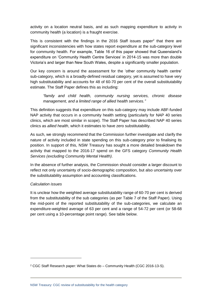activity on a location neutral basis, and as such mapping expenditure to activity in community health (a location) is a fraught exercise.

This is consistent with the findings in the 2016 Staff issues paper<sup>2</sup> that there are significant inconsistencies with how states report expenditure at the sub-category level for community health. For example, Table 16 of this paper showed that Queensland's expenditure on 'Community Health Centre Services' in 2014-15 was more than double Victoria's and larger than New South Wales, despite a significantly smaller population.

Our key concern is around the assessment for the 'other community health centre' sub-category, which is a broadly-defined residual category, yet is assumed to have very high substitutability and accounts for 48 of 60-70 per cent of the overall substitutability estimate. The Staff Paper defines this as including:

*"family and child health, community nursing services, chronic disease management, and a limited range of allied health services."*

This definition suggests that expenditure on this sub-category may include ABF-funded NAP activity that occurs in a community health setting (particularly for NAP 40 series clinics, which are most similar in scope). The Staff Paper has described NAP 40 series clinics as *allied health*, which it estimates to have zero substitutability.

As such, we strongly recommend that the Commission further investigate and clarify the nature of activity included in state spending on this sub-category prior to finalising its position. In support of this, NSW Treasury has sought a more detailed breakdown the activity that mapped to the 2016-17 spend on the GFS category *Community Health Services (excluding Community Mental Health)*.

In the absence of further analysis, the Commission should consider a larger discount to reflect not only uncertainty of socio-demographic composition, but also uncertainty over the substitutability assumption and accounting classifications.

#### *Calculation issues*

-

It is unclear how the weighted average substitutability range of 60-70 per cent is derived from the substitutability of the sub categories (as per Table 7 of the Staff Paper). Using the mid-point of the reported substitutability of the sub-categories, we calculate an expenditure-weighted average of 63 per cent and a range of 54-72 per cent (or 58-68 per cent using a 10-percentage point range). See table below.

<sup>2</sup> CGC Staff Research paper: What States do – Community Health (CGC 2016-13-S).